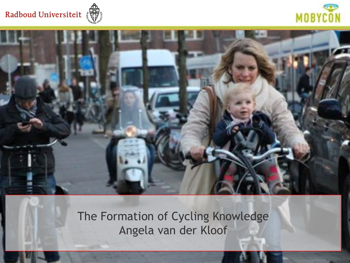## Radboud Universiteit







The Formation of Cycling Knowledge Angela van der Kloof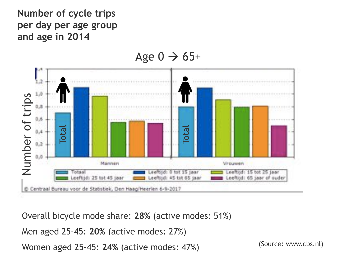### **Number of cycle trips per day per age group and age in 2014**

Age  $0 \rightarrow 65+$ 



Overall bicycle mode share: **28%** (active modes: 51%)

Men aged 25-45: **20%** (active modes: 27%)

(Source: www.cbs.nl)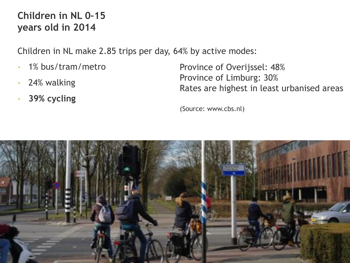### **Children in NL 0–15 years old in 2014**

Children in NL make 2.85 trips per day, 64% by active modes:

- 1% bus/tram/metro
- 24% walking
- **39% cycling**

Province of Overijssel: 48% Province of Limburg: 30% Rates are highest in least urbanised areas

(Source: www.cbs.nl)

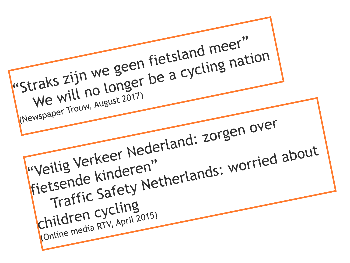Kustraks zijn we geen fietsland meer" We will no longer be a cycling nation (Newspaper Trouw, August 2017) **Weilig Verkeer Nederland: Zorgen over** Traffic Safety Netherlands: worried about fietsende kinderen" children cycling (Online media RTV, April 2015)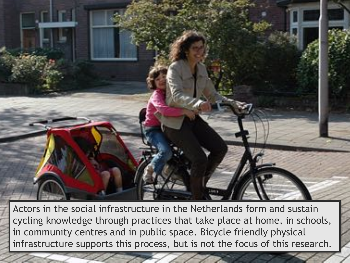

Actors in the social infrastructure in the Netherlands form and sustain cycling knowledge through practices that take place at home, in schools, in community centres and in public space. Bicycle friendly physical infrastructure supports this process, but is not the focus of this research.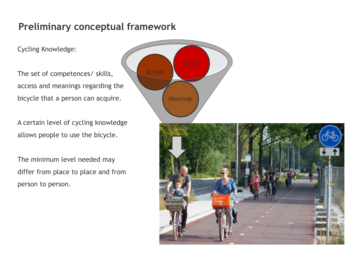#### **Preliminary conceptual framework**

Cycling Knowledge:

The set of competences/ skills, access and meanings regarding the bicycle that a person can acquire.

A certain level of cycling knowledge allows people to use the bicycle.

The minimum level needed may differ from place to place and from person to person.



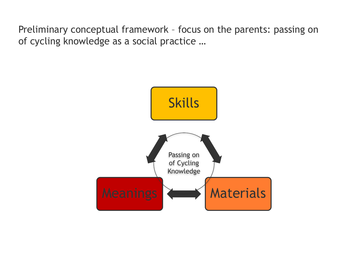Preliminary conceptual framework – focus on the parents: passing on of cycling knowledge as a social practice …

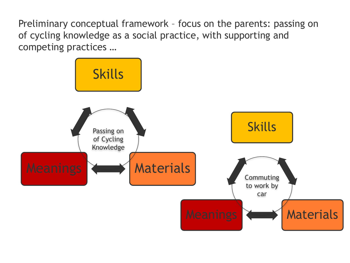Preliminary conceptual framework – focus on the parents: passing on of cycling knowledge as a social practice, with supporting and competing practices …

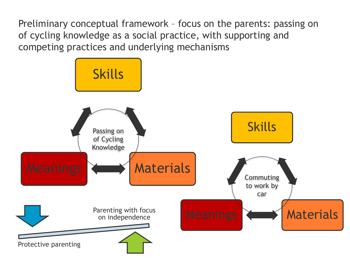Preliminary conceptual framework – focus on the parents: passing on of cycling knowledge as a social practice, with supporting and competing practices and underlying mechanisms

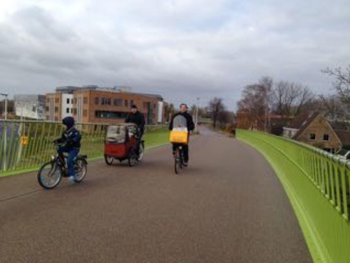